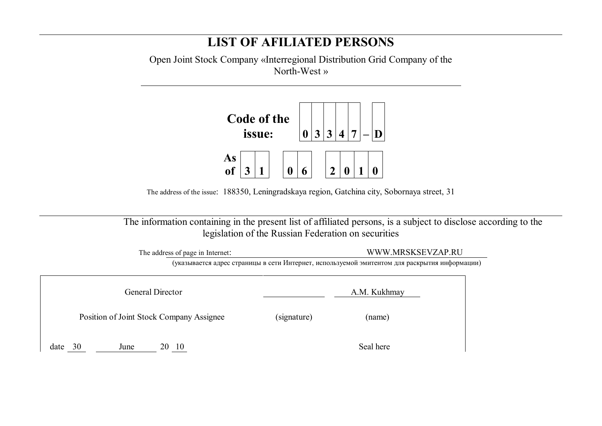## **LIST OF AFILIATED PERSONS**

Open Joint Stock Company «Interregional Distribution Grid Company of the North-West »



The address of the issue: 188350, Leningradskaya region, Gatchina city, Sobornaya street, 31

 The information containing in the present list of affiliated persons, is a subject to disclose according to the legislation of the Russian Federation on securities

|                         | The address of page in Internet:         |              | WWW.MRSKSEVZAP.RU                                                                             |  |  |  |
|-------------------------|------------------------------------------|--------------|-----------------------------------------------------------------------------------------------|--|--|--|
|                         |                                          |              | (указывается адрес страницы в сети Интернет, используемой эмитентом для раскрытия информации) |  |  |  |
|                         |                                          |              |                                                                                               |  |  |  |
| <b>General Director</b> |                                          | A.M. Kukhmay |                                                                                               |  |  |  |
|                         |                                          |              |                                                                                               |  |  |  |
|                         | Position of Joint Stock Company Assignee | (signature)  | (name)                                                                                        |  |  |  |
|                         |                                          |              |                                                                                               |  |  |  |
| date<br>30              | -10<br>June<br>20                        |              | Seal here                                                                                     |  |  |  |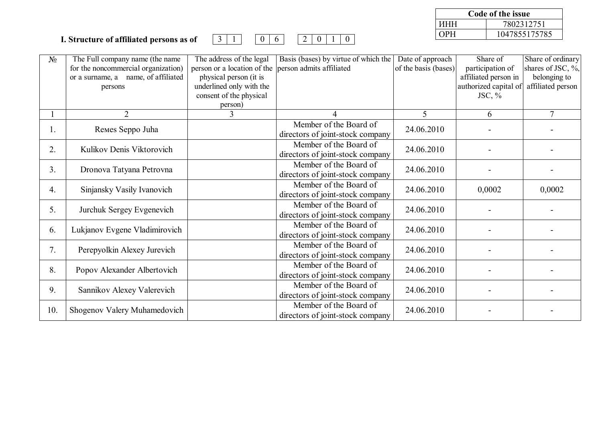## **I. Structure of affiliated persons as of** 3 1 0 6 2 0 1 0

**Code of the issue** ИНН 7802312751 ОРН 1047855175785

| $N_2$ | The Full company name (the name<br>for the noncommercial organization)<br>or a surname, a name, of affiliated<br>persons | The address of the legal<br>person or a location of the<br>physical person (it is<br>underlined only with the<br>consent of the physical<br>person) | Basis (bases) by virtue of which the<br>person admits affiliated | Date of approach<br>of the basis (bases) | Share of<br>participation of<br>affiliated person in<br>authorized capital of<br>JSC, $%$ | Share of ordinary<br>shares of JSC, $\%$ ,<br>belonging to<br>affiliated person |
|-------|--------------------------------------------------------------------------------------------------------------------------|-----------------------------------------------------------------------------------------------------------------------------------------------------|------------------------------------------------------------------|------------------------------------------|-------------------------------------------------------------------------------------------|---------------------------------------------------------------------------------|
|       | $\overline{2}$                                                                                                           | 3                                                                                                                                                   |                                                                  | 5                                        | 6                                                                                         | $\tau$                                                                          |
| Ι.    | Remes Seppo Juha                                                                                                         |                                                                                                                                                     | Member of the Board of<br>directors of joint-stock company       | 24.06.2010                               |                                                                                           |                                                                                 |
| 2.    | Kulikov Denis Viktorovich                                                                                                |                                                                                                                                                     | Member of the Board of<br>directors of joint-stock company       | 24.06.2010                               |                                                                                           |                                                                                 |
| 3.    | Dronova Tatyana Petrovna                                                                                                 |                                                                                                                                                     | Member of the Board of<br>directors of joint-stock company       | 24.06.2010                               |                                                                                           |                                                                                 |
| 4.    | Sinjansky Vasily Ivanovich                                                                                               |                                                                                                                                                     | Member of the Board of<br>directors of joint-stock company       | 24.06.2010                               | 0,0002                                                                                    | 0,0002                                                                          |
| 5.    | Jurchuk Sergey Evgenevich                                                                                                |                                                                                                                                                     | Member of the Board of<br>directors of joint-stock company       | 24.06.2010                               |                                                                                           |                                                                                 |
| 6.    | Lukjanov Evgene Vladimirovich                                                                                            |                                                                                                                                                     | Member of the Board of<br>directors of joint-stock company       | 24.06.2010                               |                                                                                           |                                                                                 |
| 7.    | Perepyolkin Alexey Jurevich                                                                                              |                                                                                                                                                     | Member of the Board of<br>directors of joint-stock company       | 24.06.2010                               |                                                                                           |                                                                                 |
| 8.    | Popov Alexander Albertovich                                                                                              |                                                                                                                                                     | Member of the Board of<br>directors of joint-stock company       | 24.06.2010                               |                                                                                           |                                                                                 |
| 9.    | Sannikov Alexey Valerevich                                                                                               |                                                                                                                                                     | Member of the Board of<br>directors of joint-stock company       | 24.06.2010                               |                                                                                           |                                                                                 |
| 10.   | Shogenov Valery Muhamedovich                                                                                             |                                                                                                                                                     | Member of the Board of<br>directors of joint-stock company       | 24.06.2010                               |                                                                                           |                                                                                 |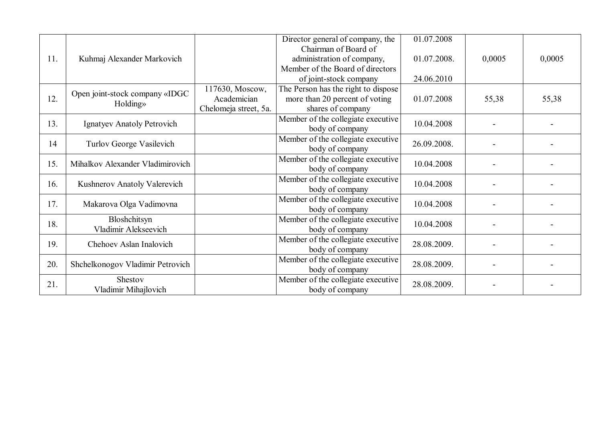|     |                                  |                       | Director general of company, the    | 01.07.2008  |                          |        |
|-----|----------------------------------|-----------------------|-------------------------------------|-------------|--------------------------|--------|
|     |                                  |                       |                                     |             |                          |        |
|     |                                  |                       | Chairman of Board of                |             |                          |        |
| 11. | Kuhmaj Alexander Markovich       |                       | administration of company,          | 01.07.2008. | 0,0005                   | 0,0005 |
|     |                                  |                       | Member of the Board of directors    |             |                          |        |
|     |                                  |                       | of joint-stock company              | 24.06.2010  |                          |        |
|     |                                  | 117630, Moscow,       | The Person has the right to dispose |             |                          |        |
| 12. | Open joint-stock company «IDGC   | Academician           | more than 20 percent of voting      | 01.07.2008  | 55,38                    | 55,38  |
|     | Holding»                         | Chelomeja street, 5a. | shares of company                   |             |                          |        |
|     |                                  |                       | Member of the collegiate executive  |             |                          |        |
| 13. | Ignatyev Anatoly Petrovich       |                       | body of company                     | 10.04.2008  |                          |        |
|     |                                  |                       | Member of the collegiate executive  |             |                          |        |
| 14  | Turlov George Vasilevich         |                       |                                     | 26.09.2008. |                          |        |
|     |                                  |                       | body of company                     |             |                          |        |
| 15. | Mihalkov Alexander Vladimirovich |                       | Member of the collegiate executive  | 10.04.2008  |                          |        |
|     |                                  |                       | body of company                     |             |                          |        |
| 16. | Kushnerov Anatoly Valerevich     |                       | Member of the collegiate executive  | 10.04.2008  |                          |        |
|     |                                  |                       | body of company                     |             |                          |        |
|     |                                  |                       | Member of the collegiate executive  |             |                          |        |
| 17. | Makarova Olga Vadimovna          |                       | body of company                     | 10.04.2008  |                          |        |
|     | Bloshchitsyn                     |                       | Member of the collegiate executive  |             |                          |        |
| 18. | Vladimir Alekseevich             |                       | body of company                     | 10.04.2008  |                          |        |
|     |                                  |                       | Member of the collegiate executive  |             |                          |        |
| 19. | Chehoev Aslan Inalovich          |                       | body of company                     | 28.08.2009. |                          |        |
|     |                                  |                       |                                     |             |                          |        |
| 20. | Shchelkonogov Vladimir Petrovich |                       | Member of the collegiate executive  | 28.08.2009. | $\overline{\phantom{a}}$ |        |
|     |                                  |                       | body of company                     |             |                          |        |
| 21. | Shestov                          |                       | Member of the collegiate executive  | 28.08.2009. |                          |        |
|     | Vladimir Mihajlovich             |                       | body of company                     |             |                          |        |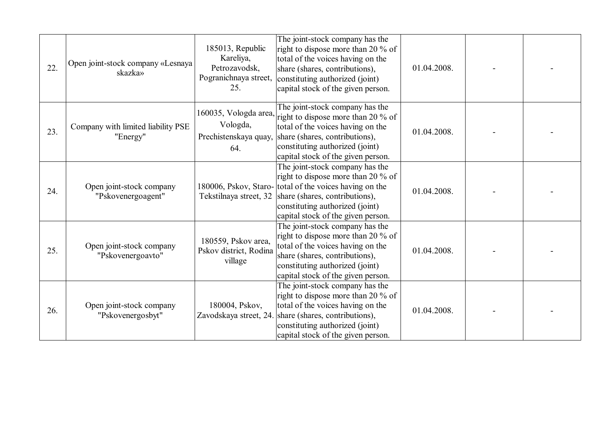| 22. | Open joint-stock company «Lesnaya<br>skazka»   | 185013, Republic<br>Kareliya,<br>Petrozavodsk,<br>Pogranichnaya street,<br>25. | The joint-stock company has the<br>right to dispose more than 20 % of<br>total of the voices having on the<br>share (shares, contributions),<br>constituting authorized (joint)<br>capital stock of the given person.                        | 01.04.2008. |  |
|-----|------------------------------------------------|--------------------------------------------------------------------------------|----------------------------------------------------------------------------------------------------------------------------------------------------------------------------------------------------------------------------------------------|-------------|--|
| 23. | Company with limited liability PSE<br>"Energy" | 160035, Vologda area,<br>Vologda,<br>Prechistenskaya quay,<br>64.              | The joint-stock company has the<br>right to dispose more than 20 % of<br>total of the voices having on the<br>share (shares, contributions),<br>constituting authorized (joint)<br>capital stock of the given person.                        | 01.04.2008. |  |
| 24. | Open joint-stock company<br>"Pskovenergoagent" | 180006, Pskov, Staro-<br>Tekstilnaya street, 32                                | The joint-stock company has the<br>right to dispose more than 20 % of<br>total of the voices having on the<br>share (shares, contributions),<br>constituting authorized (joint)<br>capital stock of the given person.                        | 01.04.2008. |  |
| 25. | Open joint-stock company<br>"Pskovenergoavto"  | 180559, Pskov area,<br>Pskov district, Rodina<br>village                       | The joint-stock company has the<br>right to dispose more than 20 % of<br>total of the voices having on the<br>share (shares, contributions),<br>constituting authorized (joint)<br>capital stock of the given person.                        | 01.04.2008. |  |
| 26. | Open joint-stock company<br>"Pskovenergosbyt"  | 180004, Pskov,                                                                 | The joint-stock company has the<br>right to dispose more than 20 % of<br>total of the voices having on the<br>Zavodskaya street, 24. share (shares, contributions),<br>constituting authorized (joint)<br>capital stock of the given person. | 01.04.2008. |  |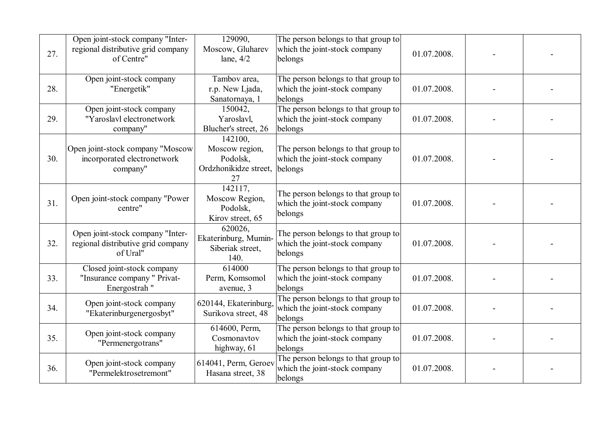| 27. | Open joint-stock company "Inter-<br>regional distributive grid company<br>of Centre" | 129090,<br>Moscow, Gluharev<br>lane, $4/2$                           | The person belongs to that group to<br>which the joint-stock company<br>belongs | 01.07.2008. |  |
|-----|--------------------------------------------------------------------------------------|----------------------------------------------------------------------|---------------------------------------------------------------------------------|-------------|--|
| 28. | Open joint-stock company<br>"Energetik"                                              | Tambov area,<br>r.p. New Ljada,<br>Sanatornaya, 1                    | The person belongs to that group to<br>which the joint-stock company<br>belongs | 01.07.2008. |  |
| 29. | Open joint-stock company<br>"Yaroslavl electronetwork<br>company"                    | 150042,<br>Yaroslavl,<br>Blucher's street, 26                        | The person belongs to that group to<br>which the joint-stock company<br>belongs | 01.07.2008. |  |
| 30. | Open joint-stock company "Moscow<br>incorporated electronetwork<br>company"          | 142100,<br>Moscow region,<br>Podolsk,<br>Ordzhonikidze street,<br>27 | The person belongs to that group to<br>which the joint-stock company<br>belongs | 01.07.2008. |  |
| 31. | Open joint-stock company "Power"<br>centre"                                          | 142117,<br>Moscow Region,<br>Podolsk,<br>Kirov street, 65            | The person belongs to that group to<br>which the joint-stock company<br>belongs | 01.07.2008. |  |
| 32. | Open joint-stock company "Inter-<br>regional distributive grid company<br>of Ural"   | 620026,<br>Ekaterinburg, Mumin-<br>Siberiak street,<br>140.          | The person belongs to that group to<br>which the joint-stock company<br>belongs | 01.07.2008. |  |
| 33. | Closed joint-stock company<br>"Insurance company" Privat-<br>Energostrah "           | 614000<br>Perm, Komsomol<br>avenue, 3                                | The person belongs to that group to<br>which the joint-stock company<br>belongs | 01.07.2008. |  |
| 34. | Open joint-stock company<br>"Ekaterinburgenergosbyt"                                 | 620144, Ekaterinburg<br>Surikova street, 48                          | The person belongs to that group to<br>which the joint-stock company<br>belongs | 01.07.2008. |  |
| 35. | Open joint-stock company<br>"Permenergotrans"                                        | 614600, Perm,<br>Cosmonavtov<br>highway, 61                          | The person belongs to that group to<br>which the joint-stock company<br>belongs | 01.07.2008. |  |
| 36. | Open joint-stock company<br>"Permelektrosetremont"                                   | 614041, Perm, Geroev<br>Hasana street, 38                            | The person belongs to that group to<br>which the joint-stock company<br>belongs | 01.07.2008. |  |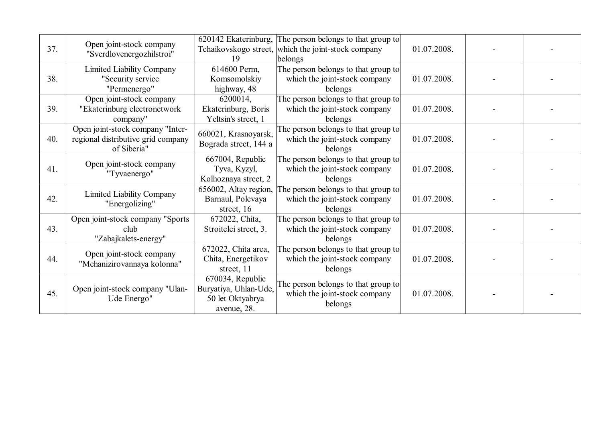| 37. | Open joint-stock company<br>"Sverdlovenergozhilstroi"                                 | 620142 Ekaterinburg,<br>Tchaikovskogo street,<br>19                          | The person belongs to that group to<br>which the joint-stock company<br>belongs | 01.07.2008. |  |
|-----|---------------------------------------------------------------------------------------|------------------------------------------------------------------------------|---------------------------------------------------------------------------------|-------------|--|
| 38. | <b>Limited Liability Company</b><br>"Security service<br>"Permenergo"                 | 614600 Perm,<br>Komsomolskiy<br>highway, 48                                  | The person belongs to that group to<br>which the joint-stock company<br>belongs | 01.07.2008. |  |
| 39. | Open joint-stock company<br>"Ekaterinburg electronetwork<br>company"                  | 6200014,<br>Ekaterinburg, Boris<br>Yeltsin's street, 1                       | The person belongs to that group to<br>which the joint-stock company<br>belongs | 01.07.2008. |  |
| 40. | Open joint-stock company "Inter-<br>regional distributive grid company<br>of Siberia" | 660021, Krasnoyarsk,<br>Bograda street, 144 a                                | The person belongs to that group to<br>which the joint-stock company<br>belongs | 01.07.2008. |  |
| 41. | Open joint-stock company<br>"Tyvaenergo"                                              | 667004, Republic<br>Tyva, Kyzyl,<br>Kolhoznaya street, 2                     | The person belongs to that group to<br>which the joint-stock company<br>belongs | 01.07.2008. |  |
| 42. | <b>Limited Liability Company</b><br>"Energolizing"                                    | 656002, Altay region,<br>Barnaul, Polevaya<br>street, 16                     | The person belongs to that group to<br>which the joint-stock company<br>belongs | 01.07.2008. |  |
| 43. | Open joint-stock company "Sports<br>club<br>"Zabajkalets-energy"                      | 672022, Chita,<br>Stroitelei street, 3.                                      | The person belongs to that group to<br>which the joint-stock company<br>belongs | 01.07.2008. |  |
| 44. | Open joint-stock company<br>"Mehanizirovannaya kolonna"                               | 672022, Chita area,<br>Chita, Energetikov<br>street, 11                      | The person belongs to that group to<br>which the joint-stock company<br>belongs | 01.07.2008. |  |
| 45. | Open joint-stock company "Ulan-<br>Ude Energo"                                        | 670034, Republic<br>Buryatiya, Uhlan-Ude,<br>50 let Oktyabrya<br>avenue, 28. | The person belongs to that group to<br>which the joint-stock company<br>belongs | 01.07.2008. |  |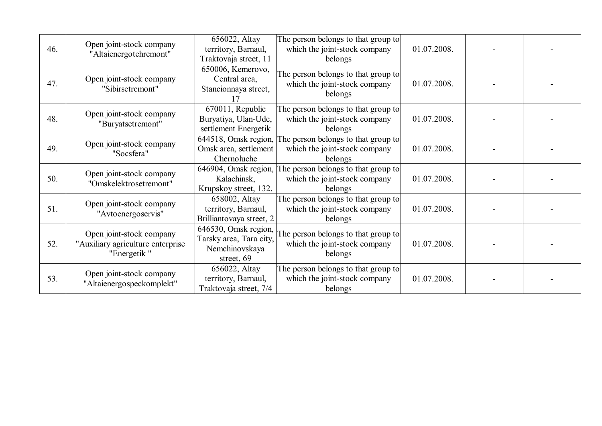| 46. | Open joint-stock company<br>"Altaienergotehremont"                           | 656022, Altay<br>territory, Barnaul,<br>Traktovaja street, 11    | The person belongs to that group to<br>which the joint-stock company<br>belongs                                | 01.07.2008. |  |
|-----|------------------------------------------------------------------------------|------------------------------------------------------------------|----------------------------------------------------------------------------------------------------------------|-------------|--|
| 47. | Open joint-stock company<br>"Sibirsetremont"                                 | 650006, Kemerovo,<br>Central area,<br>Stancionnaya street,       | The person belongs to that group to<br>which the joint-stock company<br>belongs                                | 01.07.2008. |  |
| 48. | Open joint-stock company<br>"Buryatsetremont"                                | 670011, Republic<br>Buryatiya, Ulan-Ude,<br>settlement Energetik | The person belongs to that group to<br>which the joint-stock company<br>belongs                                | 01.07.2008. |  |
| 49. | Open joint-stock company<br>"Socsfera"                                       | 644518, Omsk region,<br>Omsk area, settlement<br>Chernoluche     | The person belongs to that group to<br>which the joint-stock company<br>belongs                                | 01.07.2008. |  |
| 50. | Open joint-stock company<br>"Omskelektrosetremont"                           | 646904, Omsk region,<br>Kalachinsk,<br>Krupskoy street, 132.     | The person belongs to that group to<br>which the joint-stock company<br>belongs                                | 01.07.2008. |  |
| 51. | Open joint-stock company<br>"Avtoenergoservis"                               | 658002, Altay<br>territory, Barnaul,<br>Brilliantovaya street, 2 | The person belongs to that group to<br>which the joint-stock company<br>belongs                                | 01.07.2008. |  |
| 52. | Open joint-stock company<br>"Auxiliary agriculture enterprise<br>"Energetik" | Tarsky area, Tara city,<br>Nemchinovskaya<br>street, 69          | $\boxed{646530, Omsk}$ region, The person belongs to that group to<br>which the joint-stock company<br>belongs | 01.07.2008. |  |
| 53. | Open joint-stock company<br>"Altaienergospeckomplekt"                        | 656022, Altay<br>territory, Barnaul,<br>Traktovaja street, 7/4   | The person belongs to that group to<br>which the joint-stock company<br>belongs                                | 01.07.2008. |  |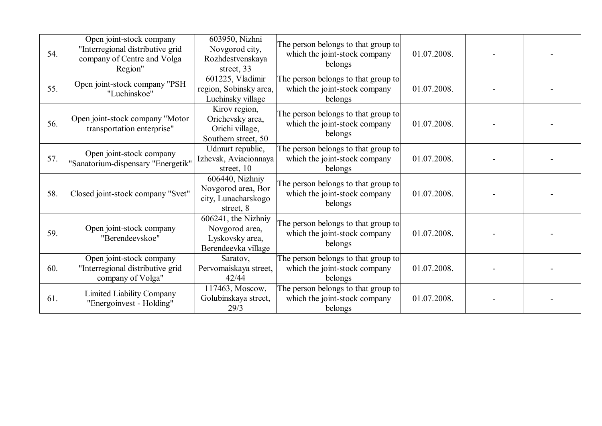| 54. | Open joint-stock company<br>"Interregional distributive grid<br>company of Centre and Volga<br>Region" | 603950, Nizhni<br>Novgorod city,<br>Rozhdestvenskaya<br>street, 33              | The person belongs to that group to<br>which the joint-stock company<br>belongs | 01.07.2008. |  |
|-----|--------------------------------------------------------------------------------------------------------|---------------------------------------------------------------------------------|---------------------------------------------------------------------------------|-------------|--|
| 55. | Open joint-stock company "PSH<br>"Luchinskoe"                                                          | 601225, Vladimir<br>region, Sobinsky area,<br>Luchinsky village                 | The person belongs to that group to<br>which the joint-stock company<br>belongs | 01.07.2008. |  |
| 56. | Open joint-stock company "Motor<br>transportation enterprise"                                          | Kirov region,<br>Orichevsky area,<br>Orichi village,<br>Southern street, 50     | The person belongs to that group to<br>which the joint-stock company<br>belongs | 01.07.2008. |  |
| 57. | Open joint-stock company<br>"Sanatorium-dispensary "Energetik"                                         | Udmurt republic,<br>Izhevsk, Aviacionnaya<br>street, 10                         | The person belongs to that group to<br>which the joint-stock company<br>belongs | 01.07.2008. |  |
| 58. | Closed joint-stock company "Svet"                                                                      | 606440, Nizhniy<br>Novgorod area, Bor<br>city, Lunacharskogo<br>street, 8       | The person belongs to that group to<br>which the joint-stock company<br>belongs | 01.07.2008. |  |
| 59. | Open joint-stock company<br>"Berendeevskoe"                                                            | 606241, the Nizhniy<br>Novgorod area,<br>Lyskovsky area,<br>Berendeevka village | The person belongs to that group to<br>which the joint-stock company<br>belongs | 01.07.2008. |  |
| 60. | Open joint-stock company<br>"Interregional distributive grid<br>company of Volga"                      | Saratov,<br>Pervomaiskaya street,<br>42/44                                      | The person belongs to that group to<br>which the joint-stock company<br>belongs | 01.07.2008. |  |
| 61. | Limited Liability Company<br>"Energoinvest - Holding"                                                  | 117463, Moscow,<br>Golubinskaya street,<br>29/3                                 | The person belongs to that group to<br>which the joint-stock company<br>belongs | 01.07.2008. |  |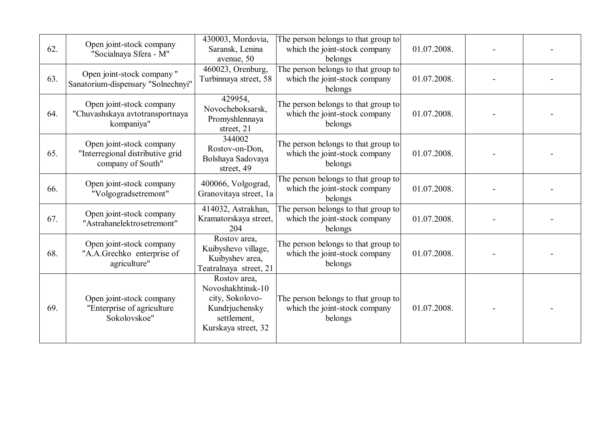| 62. | Open joint-stock company<br>"Socialnaya Sfera - M"                                | 430003, Mordovia,<br>Saransk, Lenina<br>avenue, 50                                                           | The person belongs to that group to<br>which the joint-stock company<br>belongs | 01.07.2008. |  |
|-----|-----------------------------------------------------------------------------------|--------------------------------------------------------------------------------------------------------------|---------------------------------------------------------------------------------|-------------|--|
| 63. | Open joint-stock company"<br>Sanatorium-dispensary "Solnechnyi"                   | 460023, Orenburg,<br>Turbinnaya street, 58                                                                   | The person belongs to that group to<br>which the joint-stock company<br>belongs | 01.07.2008. |  |
| 64. | Open joint-stock company<br>"Chuvashskaya avtotransportnaya<br>kompaniya"         | 429954,<br>Novocheboksarsk,<br>Promyshlennaya<br>street, 21                                                  | The person belongs to that group to<br>which the joint-stock company<br>belongs | 01.07.2008. |  |
| 65. | Open joint-stock company<br>"Interregional distributive grid<br>company of South" | 344002<br>Rostov-on-Don,<br>Bolshaya Sadovaya<br>street, 49                                                  | The person belongs to that group to<br>which the joint-stock company<br>belongs | 01.07.2008. |  |
| 66. | Open joint-stock company<br>"Volgogradsetremont"                                  | 400066, Volgograd,<br>Granovitaya street, 1a                                                                 | The person belongs to that group to<br>which the joint-stock company<br>belongs | 01.07.2008. |  |
| 67. | Open joint-stock company<br>"Astrahanelektrosetremont"                            | 414032, Astrakhan,<br>Kramatorskaya street,<br>204                                                           | The person belongs to that group to<br>which the joint-stock company<br>belongs | 01.07.2008. |  |
| 68. | Open joint-stock company<br>"A.A.Grechko enterprise of<br>agriculture"            | Rostov area,<br>Kuibyshevo village,<br>Kuibyshev area,<br>Teatralnaya street, 21                             | The person belongs to that group to<br>which the joint-stock company<br>belongs | 01.07.2008. |  |
| 69. | Open joint-stock company<br>"Enterprise of agriculture<br>Sokolovskoe"            | Rostov area,<br>Novoshakhtinsk-10<br>city, Sokolovo-<br>Kundrjuchensky<br>settlement,<br>Kurskaya street, 32 | The person belongs to that group to<br>which the joint-stock company<br>belongs | 01.07.2008. |  |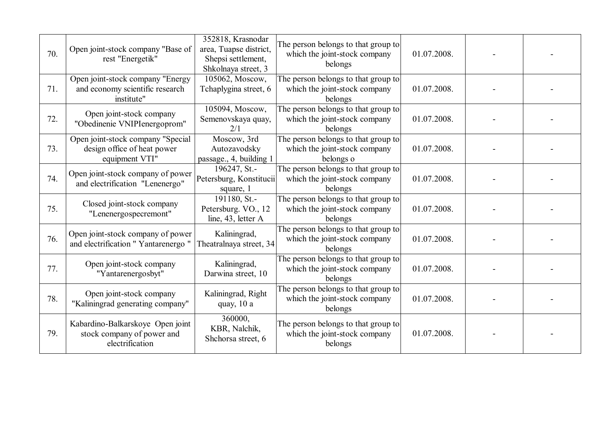| 70. | Open joint-stock company "Base of<br>rest "Energetik"                              | 352818, Krasnodar<br>area, Tuapse district,<br>Shepsi settlement,<br>Shkolnaya street, 3 | The person belongs to that group to<br>which the joint-stock company<br>belongs   | 01.07.2008. |  |
|-----|------------------------------------------------------------------------------------|------------------------------------------------------------------------------------------|-----------------------------------------------------------------------------------|-------------|--|
| 71. | Open joint-stock company "Energy<br>and economy scientific research<br>institute"  | 105062, Moscow,<br>Tchaplygina street, 6                                                 | The person belongs to that group to<br>which the joint-stock company<br>belongs   | 01.07.2008. |  |
| 72. | Open joint-stock company<br>"Obedinenie VNIPIenergoprom"                           | 105094, Moscow,<br>Semenovskaya quay,<br>2/1                                             | The person belongs to that group to<br>which the joint-stock company<br>belongs   | 01.07.2008. |  |
| 73. | Open joint-stock company "Special<br>design office of heat power<br>equipment VTI" | Moscow, 3rd<br>Autozavodsky<br>passage., 4, building 1                                   | The person belongs to that group to<br>which the joint-stock company<br>belongs o | 01.07.2008. |  |
| 74. | Open joint-stock company of power<br>and electrification "Lenenergo"               | 196247, St.-<br>Petersburg, Konstitucii<br>square, 1                                     | The person belongs to that group to<br>which the joint-stock company<br>belongs   | 01.07.2008. |  |
| 75. | Closed joint-stock company<br>"Lenenergospecremont"                                | 191180, St.-<br>Petersburg. VO., 12<br>line, 43, letter A                                | The person belongs to that group to<br>which the joint-stock company<br>belongs   | 01.07.2008. |  |
| 76. | Open joint-stock company of power<br>and electrification "Yantarenergo"            | Kaliningrad,<br>Theatralnaya street, 34                                                  | The person belongs to that group to<br>which the joint-stock company<br>belongs   | 01.07.2008. |  |
| 77. | Open joint-stock company<br>"Yantarenergosbyt"                                     | Kaliningrad,<br>Darwina street, 10                                                       | The person belongs to that group to<br>which the joint-stock company<br>belongs   | 01.07.2008. |  |
| 78. | Open joint-stock company<br>"Kaliningrad generating company"                       | Kaliningrad, Right<br>quay, 10 a                                                         | The person belongs to that group to<br>which the joint-stock company<br>belongs   | 01.07.2008. |  |
| 79. | Kabardino-Balkarskoye Open joint<br>stock company of power and<br>electrification  | 360000,<br>KBR, Nalchik,<br>Shchorsa street, 6                                           | The person belongs to that group to<br>which the joint-stock company<br>belongs   | 01.07.2008. |  |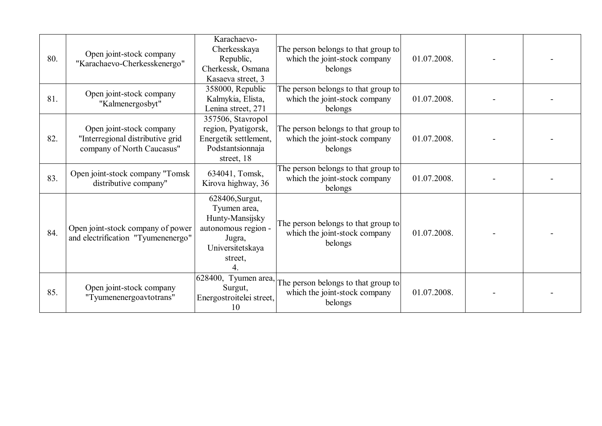| 80. | Open joint-stock company<br>"Karachaevo-Cherkesskenergo"                                   | Karachaevo-<br>Cherkesskaya<br>Republic,<br>Cherkessk, Osmana<br>Kasaeva street, 3                                 | The person belongs to that group to<br>which the joint-stock company<br>belongs | 01.07.2008. |  |
|-----|--------------------------------------------------------------------------------------------|--------------------------------------------------------------------------------------------------------------------|---------------------------------------------------------------------------------|-------------|--|
| 81. | Open joint-stock company<br>"Kalmenergosbyt"                                               | 358000, Republic<br>Kalmykia, Elista,<br>Lenina street, 271                                                        | The person belongs to that group to<br>which the joint-stock company<br>belongs | 01.07.2008. |  |
| 82. | Open joint-stock company<br>"Interregional distributive grid<br>company of North Caucasus" | 357506, Stavropol<br>region, Pyatigorsk,<br>Energetik settlement,<br>Podstantsionnaja<br>street, 18                | The person belongs to that group to<br>which the joint-stock company<br>belongs | 01.07.2008. |  |
| 83. | Open joint-stock company "Tomsk<br>distributive company"                                   | 634041, Tomsk,<br>Kirova highway, 36                                                                               | The person belongs to that group to<br>which the joint-stock company<br>belongs | 01.07.2008. |  |
| 84. | Open joint-stock company of power<br>and electrification "Tyumenenergo"                    | 628406, Surgut,<br>Tyumen area,<br>Hunty-Mansijsky<br>autonomous region -<br>Jugra,<br>Universitetskaya<br>street, | The person belongs to that group to<br>which the joint-stock company<br>belongs | 01.07.2008. |  |
| 85. | Open joint-stock company<br>"Tyumenenergoavtotrans"                                        | 628400, Tyumen area,<br>Surgut,<br>Energostroitelei street,<br>10                                                  | The person belongs to that group to<br>which the joint-stock company<br>belongs | 01.07.2008. |  |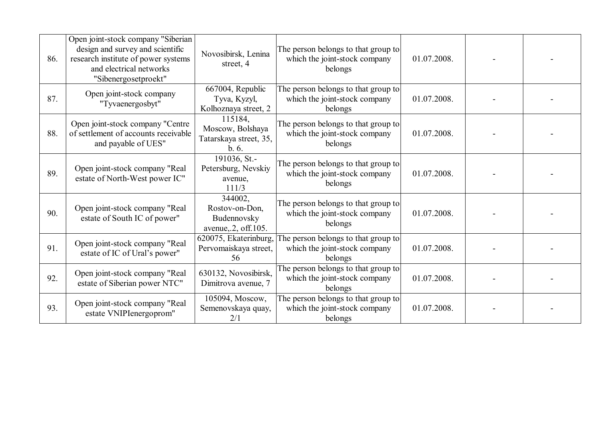| 86. | Open joint-stock company "Siberian<br>design and survey and scientific<br>research institute of power systems<br>and electrical networks<br>"Sibenergosetproekt" | Novosibirsk, Lenina<br>street, 4                                | The person belongs to that group to<br>which the joint-stock company<br>belongs | 01.07.2008. |  |
|-----|------------------------------------------------------------------------------------------------------------------------------------------------------------------|-----------------------------------------------------------------|---------------------------------------------------------------------------------|-------------|--|
| 87. | Open joint-stock company<br>"Tyvaenergosbyt"                                                                                                                     | 667004, Republic<br>Tyva, Kyzyl,<br>Kolhoznaya street, 2        | The person belongs to that group to<br>which the joint-stock company<br>belongs | 01.07.2008. |  |
| 88. | Open joint-stock company "Centre<br>of settlement of accounts receivable<br>and payable of UES"                                                                  | 115184,<br>Moscow, Bolshaya<br>Tatarskaya street, 35,<br>b.6.   | The person belongs to that group to<br>which the joint-stock company<br>belongs | 01.07.2008. |  |
| 89. | Open joint-stock company "Real<br>estate of North-West power IC"                                                                                                 | 191036, St.-<br>Petersburg, Nevskiy<br>avenue,<br>111/3         | The person belongs to that group to<br>which the joint-stock company<br>belongs | 01.07.2008. |  |
| 90. | Open joint-stock company "Real<br>estate of South IC of power"                                                                                                   | 344002,<br>Rostov-on-Don.<br>Budennovsky<br>avenue, 2, off.105. | The person belongs to that group to<br>which the joint-stock company<br>belongs | 01.07.2008. |  |
| 91. | Open joint-stock company "Real<br>estate of IC of Ural's power"                                                                                                  | 620075, Ekaterinburg,<br>Pervomaiskaya street,<br>56            | The person belongs to that group to<br>which the joint-stock company<br>belongs | 01.07.2008. |  |
| 92. | Open joint-stock company "Real<br>estate of Siberian power NTC"                                                                                                  | 630132, Novosibirsk,<br>Dimitrova avenue, 7                     | The person belongs to that group to<br>which the joint-stock company<br>belongs | 01.07.2008. |  |
| 93. | Open joint-stock company "Real<br>estate VNIPIenergoprom"                                                                                                        | 105094, Moscow,<br>Semenovskaya quay,<br>2/1                    | The person belongs to that group to<br>which the joint-stock company<br>belongs | 01.07.2008. |  |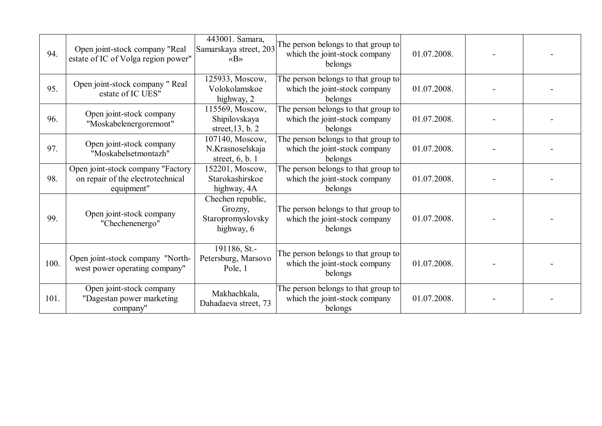| 94.  | Open joint-stock company "Real<br>estate of IC of Volga region power"                | 443001. Samara,<br>Samarskaya street, 203<br>$\langle \langle B \rangle \rangle$ | The person belongs to that group to<br>which the joint-stock company<br>belongs | 01.07.2008. |  |
|------|--------------------------------------------------------------------------------------|----------------------------------------------------------------------------------|---------------------------------------------------------------------------------|-------------|--|
| 95.  | Open joint-stock company " Real<br>estate of IC UES"                                 | 125933, Moscow,<br>Volokolamskoe<br>highway, 2                                   | The person belongs to that group to<br>which the joint-stock company<br>belongs | 01.07.2008. |  |
| 96.  | Open joint-stock company<br>"Moskabelenergoremont"                                   | 115569, Moscow,<br>Shipilovskaya<br>street, $13$ , b. 2                          | The person belongs to that group to<br>which the joint-stock company<br>belongs | 01.07.2008. |  |
| 97.  | Open joint-stock company<br>"Moskabelsetmontazh"                                     | 107140, Moscow,<br>N.Krasnoselskaja<br>street, $6, b. 1$                         | The person belongs to that group to<br>which the joint-stock company<br>belongs | 01.07.2008. |  |
| 98.  | Open joint-stock company "Factory<br>on repair of the electrotechnical<br>equipment" | 152201, Moscow,<br>Starokashirskoe<br>highway, 4A                                | The person belongs to that group to<br>which the joint-stock company<br>belongs | 01.07.2008. |  |
| 99.  | Open joint-stock company<br>"Chechenenergo"                                          | Chechen republic,<br>Grozny,<br>Staropromyslovsky<br>highway, 6                  | The person belongs to that group to<br>which the joint-stock company<br>belongs | 01.07.2008. |  |
| 100. | Open joint-stock company "North-<br>west power operating company"                    | 191186, St.-<br>Petersburg, Marsovo<br>Pole, 1                                   | The person belongs to that group to<br>which the joint-stock company<br>belongs | 01.07.2008. |  |
| 101. | Open joint-stock company<br>"Dagestan power marketing<br>company"                    | Makhachkala,<br>Dahadaeva street, 73                                             | The person belongs to that group to<br>which the joint-stock company<br>belongs | 01.07.2008. |  |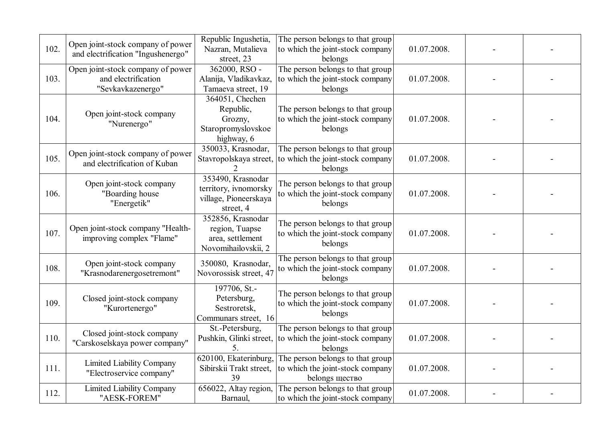| 102. | Open joint-stock company of power<br>and electrification "Ingushenergo"       | Republic Ingushetia,<br>Nazran, Mutalieva<br>street, 23                          | The person belongs to that group<br>to which the joint-stock company<br>belongs        | 01.07.2008. |  |
|------|-------------------------------------------------------------------------------|----------------------------------------------------------------------------------|----------------------------------------------------------------------------------------|-------------|--|
| 103. | Open joint-stock company of power<br>and electrification<br>"Sevkavkazenergo" | $362000, RSO -$<br>Alanija, Vladikavkaz,<br>Tamaeva street, 19                   | The person belongs to that group<br>to which the joint-stock company<br>belongs        | 01.07.2008. |  |
| 104. | Open joint-stock company<br>"Nurenergo"                                       | 364051, Chechen<br>Republic,<br>Grozny,<br>Staropromyslovskoe<br>highway, 6      | The person belongs to that group<br>to which the joint-stock company<br>belongs        | 01.07.2008. |  |
| 105. | Open joint-stock company of power<br>and electrification of Kuban             | 350033, Krasnodar,<br>Stavropolskaya street,                                     | The person belongs to that group<br>to which the joint-stock company<br>belongs        | 01.07.2008. |  |
| 106. | Open joint-stock company<br>"Boarding house<br>"Energetik"                    | 353490, Krasnodar<br>territory, ivnomorsky<br>village, Pioneerskaya<br>street, 4 | The person belongs to that group<br>to which the joint-stock company<br>belongs        | 01.07.2008. |  |
| 107. | Open joint-stock company "Health-<br>improving complex "Flame"                | 352856, Krasnodar<br>region, Tuapse<br>area, settlement<br>Novomihailovskii, 2   | The person belongs to that group<br>to which the joint-stock company<br>belongs        | 01.07.2008. |  |
| 108. | Open joint-stock company<br>"Krasnodarenergosetremont"                        | 350080, Krasnodar,<br>Novorossisk street, 47                                     | The person belongs to that group<br>to which the joint-stock company<br>belongs        | 01.07.2008. |  |
| 109. | Closed joint-stock company<br>"Kurortenergo"                                  | 197706, St.-<br>Petersburg,<br>Sestroretsk,<br>Communars street, 16              | The person belongs to that group<br>to which the joint-stock company<br>belongs        | 01.07.2008. |  |
| 110. | Closed joint-stock company<br>"Carskoselskaya power company"                  | St.-Petersburg,<br>Pushkin, Glinki street,<br>5.                                 | The person belongs to that group<br>to which the joint-stock company<br>belongs        | 01.07.2008. |  |
| 111. | <b>Limited Liability Company</b><br>"Electroservice company"                  | 620100, Ekaterinburg,<br>Sibirskii Trakt street,<br>39                           | The person belongs to that group<br>to which the joint-stock company<br>belongs щество | 01.07.2008. |  |
| 112. | <b>Limited Liability Company</b><br>"AESK-FOREM"                              | 656022, Altay region,<br>Barnaul,                                                | The person belongs to that group<br>to which the joint-stock company                   | 01.07.2008. |  |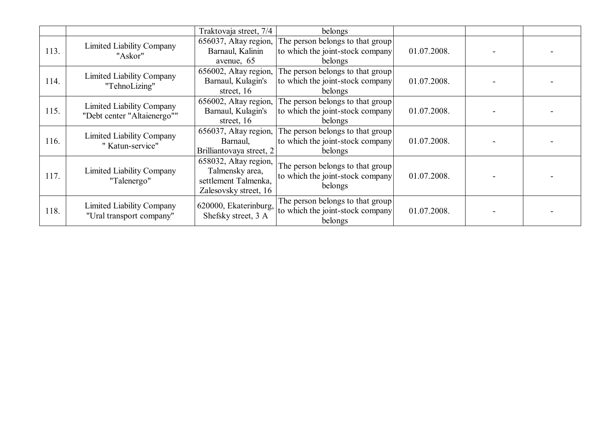|      |                                                                 | Traktovaja street, 7/4   | belongs                          |             |  |
|------|-----------------------------------------------------------------|--------------------------|----------------------------------|-------------|--|
|      | <b>Limited Liability Company</b>                                | 656037, Altay region,    | The person belongs to that group |             |  |
| 113. | "Askor"                                                         | Barnaul, Kalinin         | to which the joint-stock company | 01.07.2008. |  |
|      |                                                                 | avenue, 65               | belongs                          |             |  |
|      | <b>Limited Liability Company</b>                                | 656002, Altay region,    | The person belongs to that group |             |  |
| 114. | "TehnoLizing"                                                   | Barnaul, Kulagin's       | to which the joint-stock company | 01.07.2008. |  |
|      |                                                                 | street, 16               | belongs                          |             |  |
|      |                                                                 | 656002, Altay region,    | The person belongs to that group |             |  |
| 115. | <b>Limited Liability Company</b><br>"Debt center "Altaienergo"" | Barnaul, Kulagin's       | to which the joint-stock company | 01.07.2008. |  |
|      |                                                                 | street, 16               | belongs                          |             |  |
|      | <b>Limited Liability Company</b>                                | 656037, Altay region,    | The person belongs to that group |             |  |
| 116. | "Katun-service"                                                 | Barnaul,                 | to which the joint-stock company | 01.07.2008. |  |
|      |                                                                 | Brilliantovaya street, 2 | belongs                          |             |  |
|      |                                                                 | 658032, Altay region,    | The person belongs to that group |             |  |
| 117. | <b>Limited Liability Company</b>                                | Talmensky area,          | to which the joint-stock company | 01.07.2008. |  |
|      | "Talenergo"                                                     | settlement Talmenka,     | belongs                          |             |  |
|      |                                                                 | Zalesovsky street, 16    |                                  |             |  |
|      | <b>Limited Liability Company</b>                                | 620000, Ekaterinburg,    | The person belongs to that group |             |  |
| 118. | "Ural transport company"                                        | Shefsky street, 3 A      | to which the joint-stock company | 01.07.2008. |  |
|      |                                                                 |                          | belongs                          |             |  |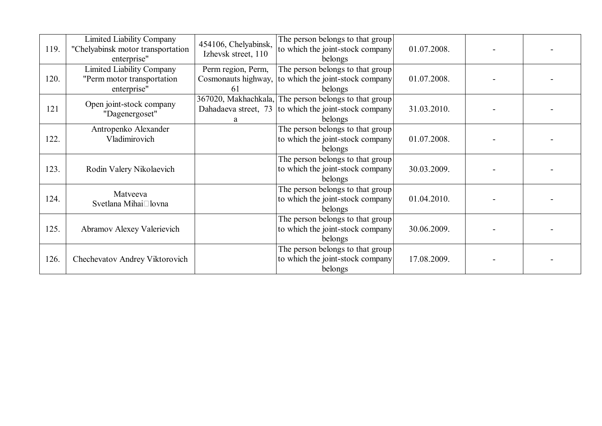| 119. | <b>Limited Liability Company</b><br>"Chelyabinsk motor transportation<br>enterprise" | 454106, Chelyabinsk,<br>Izhevsk street, 110 | The person belongs to that group<br>to which the joint-stock company<br>belongs                                           | 01.07.2008. |  |
|------|--------------------------------------------------------------------------------------|---------------------------------------------|---------------------------------------------------------------------------------------------------------------------------|-------------|--|
| 120. | <b>Limited Liability Company</b><br>"Perm motor transportation<br>enterprise"        | Perm region, Perm,<br>61                    | The person belongs to that group<br>Cosmonauts highway, to which the joint-stock company<br>belongs                       | 01.07.2008. |  |
| 121  | Open joint-stock company<br>"Dagenergoset"                                           | a                                           | 367020, Makhachkala, The person belongs to that group<br>Dahadaeva street, 73 to which the joint-stock company<br>belongs | 31.03.2010. |  |
| 122. | Antropenko Alexander<br>Vladimirovich                                                |                                             | The person belongs to that group<br>to which the joint-stock company<br>belongs                                           | 01.07.2008. |  |
| 123. | Rodin Valery Nikolaevich                                                             |                                             | The person belongs to that group<br>to which the joint-stock company<br>belongs                                           | 30.03.2009. |  |
| 124. | Matveeva<br>Svetlana Mihai□lovna                                                     |                                             | The person belongs to that group<br>to which the joint-stock company<br>belongs                                           | 01.04.2010. |  |
| 125. | Abramov Alexey Valerievich                                                           |                                             | The person belongs to that group<br>to which the joint-stock company<br>belongs                                           | 30.06.2009. |  |
| 126. | Chechevatov Andrey Viktorovich                                                       |                                             | The person belongs to that group<br>to which the joint-stock company<br>belongs                                           | 17.08.2009. |  |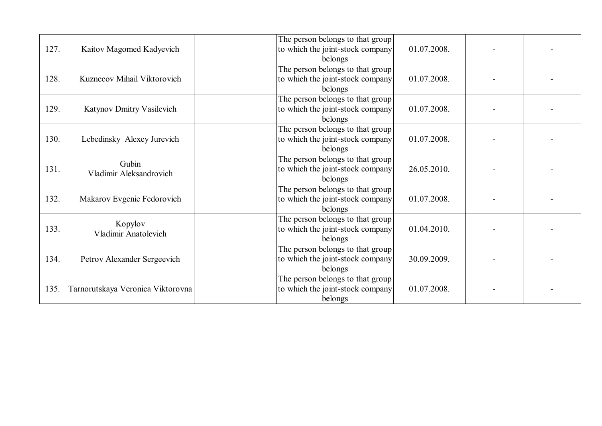| 127. | Kaitov Magomed Kadyevich          | The person belongs to that group<br>to which the joint-stock company<br>belongs | 01.07.2008. |  |
|------|-----------------------------------|---------------------------------------------------------------------------------|-------------|--|
| 128. | Kuznecov Mihail Viktorovich       | The person belongs to that group<br>to which the joint-stock company<br>belongs | 01.07.2008. |  |
| 129. | Katynov Dmitry Vasilevich         | The person belongs to that group<br>to which the joint-stock company<br>belongs | 01.07.2008. |  |
| 130. | Lebedinsky Alexey Jurevich        | The person belongs to that group<br>to which the joint-stock company<br>belongs | 01.07.2008. |  |
| 131. | Gubin<br>Vladimir Aleksandrovich  | The person belongs to that group<br>to which the joint-stock company<br>belongs | 26.05.2010. |  |
| 132. | Makarov Evgenie Fedorovich        | The person belongs to that group<br>to which the joint-stock company<br>belongs | 01.07.2008. |  |
| 133. | Kopylov<br>Vladimir Anatolevich   | The person belongs to that group<br>to which the joint-stock company<br>belongs | 01.04.2010. |  |
| 134. | Petrov Alexander Sergeevich       | The person belongs to that group<br>to which the joint-stock company<br>belongs | 30.09.2009. |  |
| 135. | Tarnorutskaya Veronica Viktorovna | The person belongs to that group<br>to which the joint-stock company<br>belongs | 01.07.2008. |  |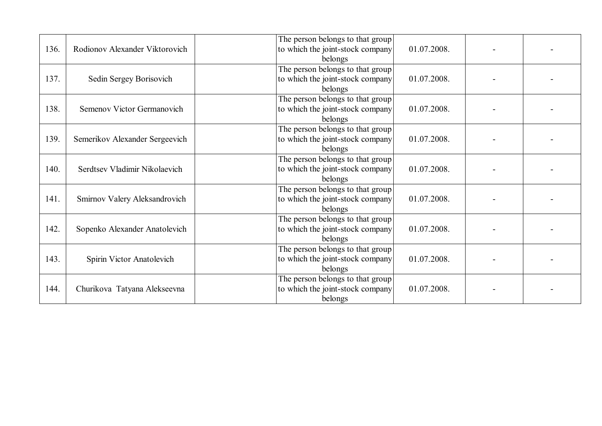| 136. | Rodionov Alexander Viktorovich | The person belongs to that group<br>to which the joint-stock company<br>01.07.2008.<br>belongs |  |
|------|--------------------------------|------------------------------------------------------------------------------------------------|--|
| 137. | Sedin Sergey Borisovich        | The person belongs to that group<br>01.07.2008.<br>to which the joint-stock company<br>belongs |  |
| 138. | Semenov Victor Germanovich     | The person belongs to that group<br>to which the joint-stock company<br>01.07.2008.<br>belongs |  |
| 139. | Semerikov Alexander Sergeevich | The person belongs to that group<br>to which the joint-stock company<br>01.07.2008.<br>belongs |  |
| 140. | Serdtsev Vladimir Nikolaevich  | The person belongs to that group<br>to which the joint-stock company<br>01.07.2008.<br>belongs |  |
| 141. | Smirnov Valery Aleksandrovich  | The person belongs to that group<br>to which the joint-stock company<br>01.07.2008.<br>belongs |  |
| 142. | Sopenko Alexander Anatolevich  | The person belongs to that group<br>to which the joint-stock company<br>01.07.2008.<br>belongs |  |
| 143. | Spirin Victor Anatolevich      | The person belongs to that group<br>to which the joint-stock company<br>01.07.2008.<br>belongs |  |
| 144. | Churikova Tatyana Alekseevna   | The person belongs to that group<br>01.07.2008.<br>to which the joint-stock company<br>belongs |  |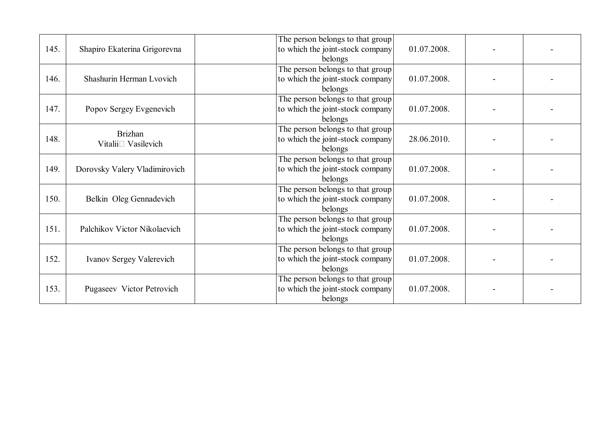| 145. | Shapiro Ekaterina Grigorevna                        | The person belongs to that group<br>to which the joint-stock company<br>belongs | 01.07.2008. |  |
|------|-----------------------------------------------------|---------------------------------------------------------------------------------|-------------|--|
| 146. | Shashurin Herman Lvovich                            | The person belongs to that group<br>to which the joint-stock company<br>belongs | 01.07.2008. |  |
| 147. | Popov Sergey Evgenevich                             | The person belongs to that group<br>to which the joint-stock company<br>belongs | 01.07.2008. |  |
| 148. | <b>Brizhan</b><br>Vitalii <sup>[1]</sup> Vasilevich | The person belongs to that group<br>to which the joint-stock company<br>belongs | 28.06.2010. |  |
| 149. | Dorovsky Valery Vladimirovich                       | The person belongs to that group<br>to which the joint-stock company<br>belongs | 01.07.2008. |  |
| 150. | Belkin Oleg Gennadevich                             | The person belongs to that group<br>to which the joint-stock company<br>belongs | 01.07.2008. |  |
| 151. | Palchikov Victor Nikolaevich                        | The person belongs to that group<br>to which the joint-stock company<br>belongs | 01.07.2008. |  |
| 152. | Ivanov Sergey Valerevich                            | The person belongs to that group<br>to which the joint-stock company<br>belongs | 01.07.2008. |  |
| 153. | Pugaseev Victor Petrovich                           | The person belongs to that group<br>to which the joint-stock company<br>belongs | 01.07.2008. |  |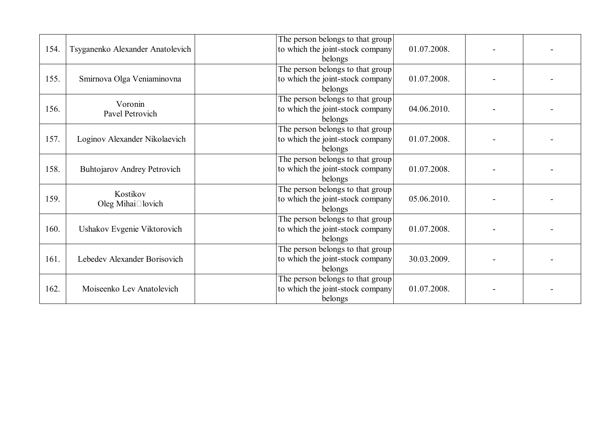| 154. | Tsyganenko Alexander Anatolevich        | The person belongs to that group<br>to which the joint-stock company<br>belongs | 01.07.2008. |  |
|------|-----------------------------------------|---------------------------------------------------------------------------------|-------------|--|
| 155. | Smirnova Olga Veniaminovna              | The person belongs to that group<br>to which the joint-stock company<br>belongs | 01.07.2008. |  |
| 156. | Voronin<br>Pavel Petrovich              | The person belongs to that group<br>to which the joint-stock company<br>belongs | 04.06.2010. |  |
| 157. | Loginov Alexander Nikolaevich           | The person belongs to that group<br>to which the joint-stock company<br>belongs | 01.07.2008. |  |
| 158. | <b>Buhtojarov Andrey Petrovich</b>      | The person belongs to that group<br>to which the joint-stock company<br>belongs | 01.07.2008. |  |
| 159. | Kostikov<br>Oleg Mihai $\square$ lovich | The person belongs to that group<br>to which the joint-stock company<br>belongs | 05.06.2010. |  |
| 160. | Ushakov Evgenie Viktorovich             | The person belongs to that group<br>to which the joint-stock company<br>belongs | 01.07.2008. |  |
| 161. | Lebedev Alexander Borisovich            | The person belongs to that group<br>to which the joint-stock company<br>belongs | 30.03.2009. |  |
| 162. | Moiseenko Lev Anatolevich               | The person belongs to that group<br>to which the joint-stock company<br>belongs | 01.07.2008. |  |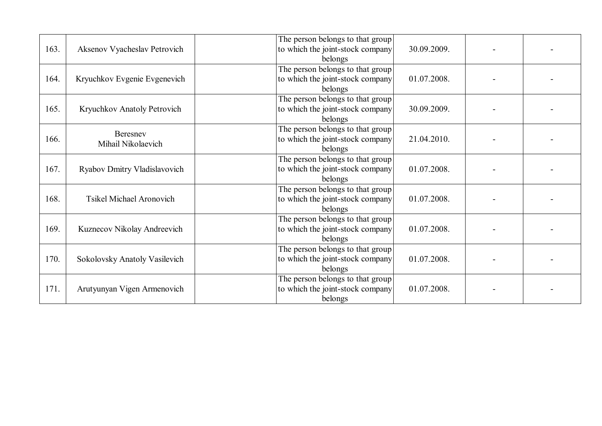| 163. | Aksenov Vyacheslav Petrovich    | The person belongs to that group<br>to which the joint-stock company<br>belongs | 30.09.2009. |  |
|------|---------------------------------|---------------------------------------------------------------------------------|-------------|--|
| 164. | Kryuchkov Evgenie Evgenevich    | The person belongs to that group<br>to which the joint-stock company<br>belongs | 01.07.2008. |  |
| 165. | Kryuchkov Anatoly Petrovich     | The person belongs to that group<br>to which the joint-stock company<br>belongs | 30.09.2009. |  |
| 166. | Beresney<br>Mihail Nikolaevich  | The person belongs to that group<br>to which the joint-stock company<br>belongs | 21.04.2010. |  |
| 167. | Ryabov Dmitry Vladislavovich    | The person belongs to that group<br>to which the joint-stock company<br>belongs | 01.07.2008. |  |
| 168. | <b>Tsikel Michael Aronovich</b> | The person belongs to that group<br>to which the joint-stock company<br>belongs | 01.07.2008. |  |
| 169. | Kuznecov Nikolay Andreevich     | The person belongs to that group<br>to which the joint-stock company<br>belongs | 01.07.2008. |  |
| 170. | Sokolovsky Anatoly Vasilevich   | The person belongs to that group<br>to which the joint-stock company<br>belongs | 01.07.2008. |  |
| 171. | Arutyunyan Vigen Armenovich     | The person belongs to that group<br>to which the joint-stock company<br>belongs | 01.07.2008. |  |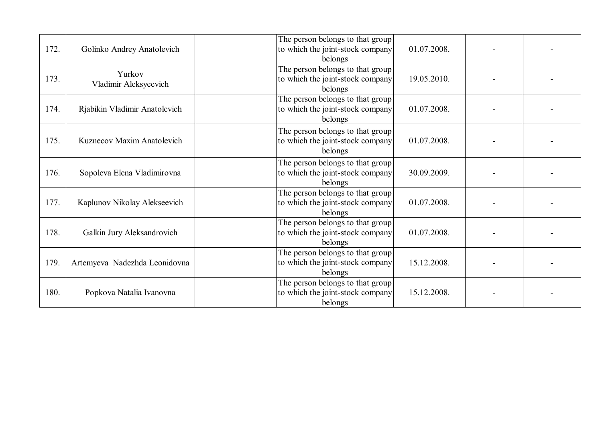| 172. | Golinko Andrey Anatolevich      | The person belongs to that group<br>to which the joint-stock company<br>belongs | 01.07.2008. |  |
|------|---------------------------------|---------------------------------------------------------------------------------|-------------|--|
| 173. | Yurkov<br>Vladimir Aleksyeevich | The person belongs to that group<br>to which the joint-stock company<br>belongs | 19.05.2010. |  |
| 174. | Rjabikin Vladimir Anatolevich   | The person belongs to that group<br>to which the joint-stock company<br>belongs | 01.07.2008. |  |
| 175. | Kuznecov Maxim Anatolevich      | The person belongs to that group<br>to which the joint-stock company<br>belongs | 01.07.2008. |  |
| 176. | Sopoleva Elena Vladimirovna     | The person belongs to that group<br>to which the joint-stock company<br>belongs | 30.09.2009. |  |
| 177. | Kaplunov Nikolay Alekseevich    | The person belongs to that group<br>to which the joint-stock company<br>belongs | 01.07.2008. |  |
| 178. | Galkin Jury Aleksandrovich      | The person belongs to that group<br>to which the joint-stock company<br>belongs | 01.07.2008. |  |
| 179. | Artemyeva Nadezhda Leonidovna   | The person belongs to that group<br>to which the joint-stock company<br>belongs | 15.12.2008. |  |
| 180. | Popkova Natalia Ivanovna        | The person belongs to that group<br>to which the joint-stock company<br>belongs | 15.12.2008. |  |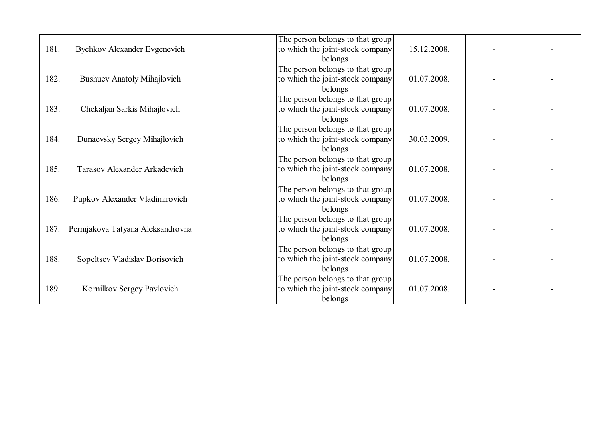| 181. | <b>Bychkov Alexander Evgenevich</b> | The person belongs to that group<br>to which the joint-stock company<br>belongs | 15.12.2008. |  |
|------|-------------------------------------|---------------------------------------------------------------------------------|-------------|--|
| 182. | <b>Bushuev Anatoly Mihajlovich</b>  | The person belongs to that group<br>to which the joint-stock company<br>belongs | 01.07.2008. |  |
| 183. | Chekaljan Sarkis Mihajlovich        | The person belongs to that group<br>to which the joint-stock company<br>belongs | 01.07.2008. |  |
| 184. | Dunaevsky Sergey Mihajlovich        | The person belongs to that group<br>to which the joint-stock company<br>belongs | 30.03.2009. |  |
| 185. | Tarasov Alexander Arkadevich        | The person belongs to that group<br>to which the joint-stock company<br>belongs | 01.07.2008. |  |
| 186. | Pupkov Alexander Vladimirovich      | The person belongs to that group<br>to which the joint-stock company<br>belongs | 01.07.2008. |  |
| 187. | Permjakova Tatyana Aleksandrovna    | The person belongs to that group<br>to which the joint-stock company<br>belongs | 01.07.2008. |  |
| 188. | Sopeltsev Vladislav Borisovich      | The person belongs to that group<br>to which the joint-stock company<br>belongs | 01.07.2008. |  |
| 189. | Kornilkov Sergey Pavlovich          | The person belongs to that group<br>to which the joint-stock company<br>belongs | 01.07.2008. |  |